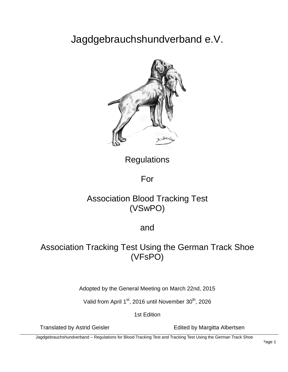# Jagdgebrauchshundverband e.V.



**Regulations** 

For

## Association Blood Tracking Test (VSwPO)

and

## Association Tracking Test Using the German Track Shoe (VFsPO)

Adopted by the General Meeting on March 22nd, 2015

Valid from April 1<sup>st</sup>, 2016 until November 30<sup>th</sup>, 2026

1st Edition

Translated by Astrid Geisler **Edited by Margitta Albertsen** 

Jagdgebrauchshundverband – Regulations for Blood Tracking Test and Tracking Test Using the German Track Shoe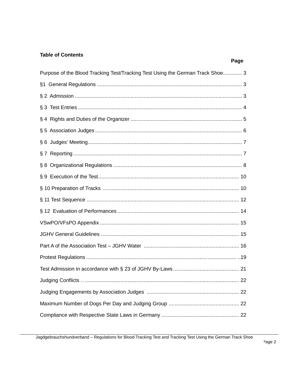## **Table of Contents**

|                                                                                | Page |
|--------------------------------------------------------------------------------|------|
| Purpose of the Blood Tracking Test/Tracking Test Using the German Track Shoe 3 |      |
|                                                                                |      |
|                                                                                |      |
|                                                                                |      |
|                                                                                |      |
|                                                                                |      |
|                                                                                |      |
|                                                                                |      |
|                                                                                |      |
|                                                                                |      |
|                                                                                |      |
|                                                                                |      |
|                                                                                |      |
|                                                                                |      |
|                                                                                |      |
|                                                                                |      |
|                                                                                |      |
|                                                                                |      |
|                                                                                |      |
|                                                                                |      |
|                                                                                |      |
|                                                                                |      |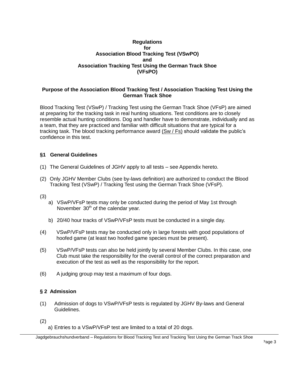## **Regulations for Association Blood Tracking Test (VSwPO) and Association Tracking Test Using the German Track Shoe (VFsPO)**

## <span id="page-2-0"></span>**Purpose of the Association Blood Tracking Test / Association Tracking Test Using the German Track Shoe**

Blood Tracking Test (VSwP) / Tracking Test using the German Track Shoe (VFsP) are aimed at preparing for the tracking task in real hunting situations. Test conditions are to closely resemble actual hunting conditions. Dog and handler have to demonstrate, individually and as a team, that they are practiced and familiar with difficult situations that are typical for a tracking task. The blood tracking performance award (Sw / Fs) should validate the public's confidence in this test.

## <span id="page-2-1"></span>**§1 General Guidelines**

- (1) The General Guidelines of JGHV apply to all tests *–* see Appendix hereto.
- (2) Only JGHV Member Clubs (see by-laws definition) are authorized to conduct the Blood Tracking Test (VSwP) / Tracking Test using the German Track Shoe (VFsP).

(3)

- a) VSwP/VFsP tests may only be conducted during the period of May 1st through November  $30<sup>th</sup>$  of the calendar year.
- b) 20/40 hour tracks of VSwP/VFsP tests must be conducted in a single day.
- (4) VSwP/VFsP tests may be conducted only in large forests with good populations of hoofed game (at least two hoofed game species must be present).
- (5) VSwP/VFsP tests can also be held jointly by several Member Clubs. In this case, one Club must take the responsibility for the overall control of the correct preparation and execution of the test as well as the responsibility for the report.
- (6) A judging group may test a maximum of four dogs.

## <span id="page-2-2"></span>**§ 2 Admission**

(1) Admission of dogs to VSwP/VFsP tests is regulated by JGHV By-laws and General Guidelines.

(2)

a) Entries to a VSwP/VFsP test are limited to a total of 20 dogs.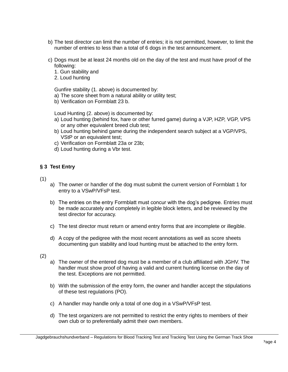- b) The test director can limit the number of entries; it is not permitted, however, to limit the number of entries to less than a total of 6 dogs in the test announcement.
- c) Dogs must be at least 24 months old on the day of the test and must have proof of the following:
	- 1. Gun stability and
	- 2. Loud hunting

Gunfire stability (1. above) is documented by:

- a) The score sheet from a natural ability or utility test;
- b) Verification on Formblatt 23 b.

Loud Hunting (2. above) is documented by:

- a) Loud hunting (behind fox, hare or other furred game) during a VJP, HZP, VGP, VPS or any other equivalent breed club test;
- b) Loud hunting behind game during the independent search subject at a VGP/VPS, VStP or an equivalent test;
- c) Verification on Formblatt 23a or 23b;
- d) Loud hunting during a Vbr test.

#### <span id="page-3-0"></span>**§ 3 Test Entry**

- (1)
- a) The owner or handler of the dog must submit the current version of Formblatt 1 for entry to a VSwP/VFsP test.
- b) The entries on the entry Formblatt must concur with the dog's pedigree. Entries must be made accurately and completely in legible block letters, and be reviewed by the test director for accuracy.
- c) The test director must return or amend entry forms that are incomplete or illegible.
- d) A copy of the pedigree with the most recent annotations as well as score sheets documenting gun stability and loud hunting must be attached to the entry form.
- (2)
- a) The owner of the entered dog must be a member of a club affiliated with JGHV. The handler must show proof of having a valid and current hunting license on the day of the test. Exceptions are not permitted.
- b) With the submission of the entry form, the owner and handler accept the stipulations of these test regulations (PO).
- c) A handler may handle only a total of one dog in a VSwP/VFsP test.
- d) The test organizers are not permitted to restrict the entry rights to members of their own club or to preferentially admit their own members.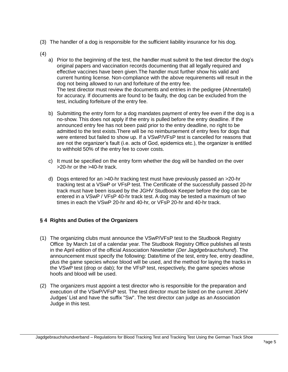- (3) The handler of a dog is responsible for the sufficient liability insurance for his dog.
- (4)
	- a) Prior to the beginning of the test, the handler must submit to the test director the dog's original papers and vaccination records documenting that all legally required and effective vaccines have been given.The handler must further show his valid and current hunting license. Non-compliance with the above requirements will result in the dog not being allowed to run and forfeiture of the entry fee. The test director must review the documents and entries in the pedigree {Ahnentafel} for accuracy. If documents are found to be faulty, the dog can be excluded from the test, including forfeiture of the entry fee.
	- b) Submitting the entry form for a dog mandates payment of entry fee even if the dog is a no-show. This does not apply if the entry is pulled before the entry deadline. If the announced entry fee has not been paid prior to the entry deadline, no right to be admitted to the test exists.There will be no reimbursement of entry fees for dogs that were entered but failed to show up. If a VSwP/VFsP test is cancelled for reasons that are not the organizer's fault (i.e. acts of God, epidemics etc.), the organizer is entitled to withhold 50% of the entry fee to cover costs.
	- c) It must be specified on the entry form whether the dog will be handled on the over >20-hr or the >40-hr track.
	- d) Dogs entered for an >40-hr tracking test must have previously passed an >20-hr tracking test at a VSwP or VFsP test. The Certificate of the successfully passed 20-hr track must have been issued by the JGHV Studbook Keeper before the dog can be entered in a VSwP / VFsP 40-hr track test. A dog may be tested a maximum of two times in each the VSwP 20-hr and 40-hr, or VFsP 20-hr and 40-hr track.

## <span id="page-4-0"></span>**§ 4 Rights and Duties of the Organizers**

- (1) The organizing clubs must announce the VSwP/VFsP test to the Studbook Registry Office by March 1st of a calendar year. The Studbook Registry Office publishes all tests in the April edition of the official Association Newsletter (*Der Jagdgebrauchshund*). The announcement must specify the following: Date/time of the test, entry fee, entry deadline, plus the game species whose blood will be used, and the method for laying the tracks in the VSwP test (drop or dab); for the VFsP test, respectively, the game species whose hoofs and blood will be used.
- (2) The organizers must appoint a test director who is responsible for the preparation and execution of the VSwP/VFsP test. The test director must be listed on the current JGHV Judges' List and have the suffix "Sw". The test director can judge as an Association Judge in this test.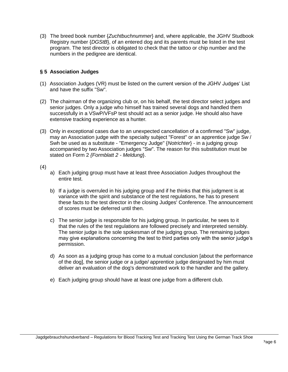(3) The breed book number {*Zuchtbuchnummer*} and, where applicable, the JGHV Studbook Registry number {*DGStB*}, of an entered dog and its parents must be listed in the test program. The test director is obligated to check that the tattoo or chip number and the numbers in the pedigree are identical.

## <span id="page-5-0"></span>**§ 5 Association Judges**

- (1) Association Judges (VR) must be listed on the current version of the JGHV Judges' List and have the suffix "Sw".
- (2) The chairman of the organizing club or, on his behalf, the test director select judges and senior judges. Only a judge who himself has trained several dogs and handled them successfully in a VSwP/VFsP test should act as a senior judge. He should also have extensive tracking experience as a hunter.
- (3) Only in exceptional cases due to an unexpected cancellation of a confirmed "Sw" judge, may an Association judge with the specialty subject "Forest" or an apprentice judge Sw / Swh be used as a substitute - "Emergency Judge" {*Notrichter*} - in a judging group accompanied by two Association judges "Sw". The reason for this substitution must be stated on Form 2 *{Formblatt 2 - Meldung*}.
- (4)
- a) Each judging group must have at least three Association Judges throughout the entire test.
- b) If a judge is overruled in his judging group and if he thinks that this judgment is at variance with the spirit and substance of the test regulations, he has to present these facts to the test director in the closing Judges' Conference. The announcement of scores must be deferred until then.
- c) The senior judge is responsible for his judging group. In particular, he sees to it that the rules of the test regulations are followed precisely and interpreted sensibly. The senior judge is the sole spokesman of the judging group. The remaining judges may give explanations concerning the test to third parties only with the senior judge's permission.
- d) As soon as a judging group has come to a mutual conclusion [about the performance of the dog], the senior judge or a judge/ apprentice judge designated by him must deliver an evaluation of the dog's demonstrated work to the handler and the gallery.
- e) Each judging group should have at least one judge from a different club.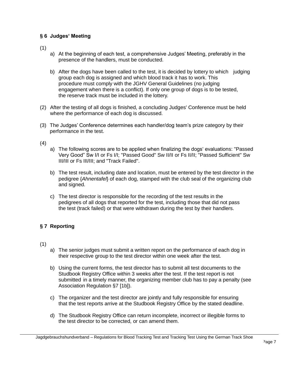## <span id="page-6-0"></span>**§ 6 Judges' Meeting**

(1)

- a) At the beginning of each test, a comprehensive Judges' Meeting, preferably in the presence of the handlers, must be conducted.
- b) After the dogs have been called to the test, it is decided by lottery to which judging group each dog is assigned and which blood track it has to work. This procedure must comply with the JGHV General Guidelines (no judging engagement when there is a conflict). If only one group of dogs is to be tested, the reserve track must be included in the lottery.
- (2) After the testing of all dogs is finished, a concluding Judges' Conference must be held where the performance of each dog is discussed.
- (3) The Judges' Conference determines each handler/dog team's prize category by their performance in the test.

(4)

- a) The following scores are to be applied when finalizing the dogs' evaluations: "Passed Very Good" Sw I/I or Fs I/I; "Passed Good" Sw II/II or Fs II/II; "Passed Sufficient" Sw III/III or Fs III/III; and "Track Failed".
- b) The test result, including date and location, must be entered by the test director in the pedigree {*Ahnentafel*} of each dog, stamped with the club seal of the organizing club and signed.
- c) The test director is responsible for the recording of the test results in the pedigrees of all dogs that reported for the test, including those that did not pass the test (track failed) or that were withdrawn during the test by their handlers.

## <span id="page-6-1"></span>**§ 7 Reporting**

- (1)
- a) The senior judges must submit a written report on the performance of each dog in their respective group to the test director within one week after the test.
- b) Using the current forms, the test director has to submit all test documents to the Studbook Registry Office within 3 weeks after the test. If the test report is not submitted in a timely manner, the organizing member club has to pay a penalty (see Association Regulation §7 [1b]).
- c) The organizer and the test director are jointly and fully responsible for ensuring that the test reports arrive at the Studbook Registry Office by the stated deadline.
- d) The Studbook Registry Office can return incomplete, incorrect or illegible forms to the test director to be corrected, or can amend them.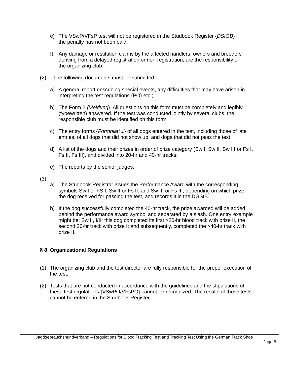- e) The VSwP/VFsP test will not be registered in the Studbook Register {*DStGB*} if the penalty has not been paid.
- f) Any damage or restitution claims by the affected handlers, owners and breeders deriving from a delayed registration or non-registration, are the responsibility of the organizing club.
- (2) The following documents must be submitted:
	- a) A general report describing special events, any difficulties that may have arisen in interpreting the test regulations {PO} etc.;
	- b) The Form 2 *{Meldung*}. All questions on this form must be completely and legibly (typewritten) answered. If the test was conducted jointly by several clubs, the responsible club must be identified on this form;
	- c) The entry forms {*Formblatt 1*} of all dogs entered in the test, including those of late entries, of all dogs that did not show up, and dogs that did not pass the test;
	- d) A list of the dogs and their prizes in order of prize category (Sw I, Sw II, Sw III or Fs I, Fs II, Fs III), and divided into 20-hr and 40-hr tracks;
	- e) The reports by the senior judges.
- (3)
- a) The Studbook Registrar issues the Performance Award with the corresponding symbols Sw I or FS I; Sw II or Fs II; and Sw III or Fs III, depending on which prize the dog received for passing the test, and records it in the DGStB.
- b) If the dog successfully completed the 40-hr track, the prize awarded will be added behind the performance award symbol and separated by a slash. One entry example might be: Sw II, I/II; this dog completed its first >20-hr blood track with prize II, the second 20-hr track with prize I; and subsequently, completed the >40-hr track with prize II.

## <span id="page-7-0"></span>**§ 8 Organizational Regulations**

- (1) The organizing club and the test director are fully responsible for the proper execution of the test.
- (2) Tests that are not conducted in accordance with the guidelines and the stipulations of these test regulations {VSwPO/VFsPO} cannot be recognized. The results of those tests cannot be entered in the Studbook Register.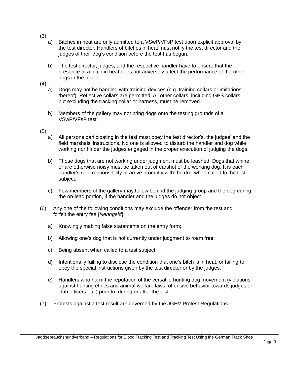- (3)
	- a) Bitches in heat are only admitted to a VSwP/VFsP test upon explicit approval by the test director. Handlers of bitches in heat must notify the test director and the judges of their dog's condition before the test has begun.
	- b) The test director, judges, and the respective handler have to ensure that the presence of a bitch in heat does not adversely affect the performance of the other dogs in the test.
- (4)
	- a) Dogs may not be handled with training devices (e.g. training collars or imitations thereof). Reflective collars are permitted. All other collars, including GPS collars, but excluding the tracking collar or harness, must be removed.
	- b) Members of the gallery may not bring dogs onto the testing grounds of a VSwP/VFsP test.
- (5)
	- a) All persons participating in the test must obey the test director's, the judges' and the field marshals' instructions. No one is allowed to disturb the handler and dog while working nor hinder the judges engaged in the proper execution of judging the dogs.
	- b) Those dogs that are not working under judgment must be leashed. Dogs that whine or are otherwise noisy must be taken out of earshot of the working dog. It is each handler's sole responsibility to arrive promptly with the dog when called to the test subject.
	- c) Few members of the gallery may follow behind the judging group and the dog during the on-lead portion, if the handler and the judges do not object.
- (6) Any one of the following conditions may exclude the offender from the test and forfeit the entry fee {*Nenngeld*}:
	- a) Knowingly making false statements on the entry form;
	- b) Allowing one's dog that is not currently under judgment to roam free;
	- c) Being absent when called to a test subject;
	- d) Intentionally failing to disclose the condition that one's bitch is in heat, or failing to obey the special instructions given by the test director or by the judges;
	- e) Handlers who harm the reputation of the versatile hunting dog movement (violations against hunting ethics and animal welfare laws, offensive behavior towards judges or club officers etc.) prior to, during or after the test.
- (7) Protests against a test result are governed by the JGHV Protest Regulations.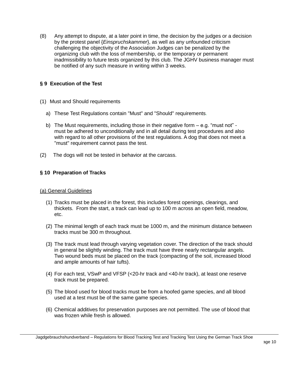(8) Any attempt to dispute, at a later point in time, the decision by the judges or a decision by the protest panel {*Einspruchskammer*}, as well as any unfounded criticism challenging the objectivity of the Association Judges can be penalized by the organizing club with the loss of membership, or the temporary or permanent inadmissibility to future tests organized by this club. The JGHV business manager must be notified of any such measure in writing within 3 weeks.

## <span id="page-9-0"></span>**§ 9 Execution of the Test**

- (1) Must and Should requirements
	- a) These Test Regulations contain "Must" and "Should" requirements*.*
	- b) The Must requirements, including those in their negative form e.g. "must not" must be adhered to unconditionally and in all detail during test procedures and also with regard to all other provisions of the test regulations. A dog that does not meet a "must" requirement cannot pass the test.
- (2) The dogs will not be tested in behavior at the carcass.

## **§ 10 Preparation of Tracks**

## (a) General Guidelines

- (1) Tracks must be placed in the forest, this includes forest openings, clearings, and thickets. From the start, a track can lead up to 100 m across an open field, meadow, etc.
- (2) The minimal length of each track must be 1000 m, and the minimum distance between tracks must be 300 m throughout.
- (3) The track must lead through varying vegetation cover. The direction of the track should in general be slightly winding. The track must have three nearly rectangular angels. Two wound beds must be placed on the track (compacting of the soil, increased blood and ample amounts of hair tufts).
- (4) For each test, VSwP and VFSP (<20-hr track and <40-hr track), at least one reserve track must be prepared.
- (5) The blood used for blood tracks must be from a hoofed game species, and all blood used at a test must be of the same game species.
- (6) Chemical additives for preservation purposes are not permitted. The use of blood that was frozen while fresh is allowed.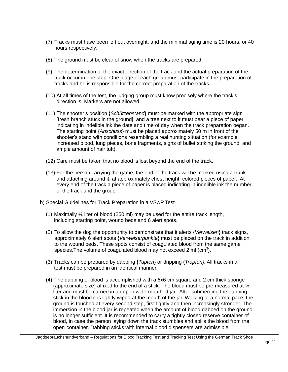- (7) Tracks must have been left out overnight, and the minimal aging time is 20 hours, or 40 hours respectively.
- (8) The ground must be clear of snow when the tracks are prepared.
- (9) The determination of the exact direction of the track and the actual preparation of the track occur in one step. One judge of each group must participate in the preparation of tracks and he is responsible for the correct preparation of the tracks.
- (10) At all times of the test, the judging group must know precisely where the track's direction is. Markers are not allowed.
- (11) The shooter's position {*Schützenstand*} must be marked with the appropriate sign [fresh branch stuck in the ground], and a tree next to it must bear a piece of paper indicating in indelible ink the date and time of day when the track preparation began. The starting point {*Anschuss*} must be placed approximately 50 m in front of the shooter's stand with conditions resembling a real hunting situation (for example, increased blood, lung pieces, bone fragments, signs of bullet striking the ground, and ample amount of hair tuft).
- (12) Care must be taken that no blood is lost beyond the end of the track.
- (13) For the person carrying the game, the end of the track will be marked using a trunk and attaching around it, at approximately chest height, colored pieces of paper. At every end of the track a piece of paper is placed indicating in indelible ink the number of the track and the group.

#### b) Special Guidelines for Track Preparation in a VSwP Test

- (1) Maximally ¼ liter of blood (250 ml) may be used for the entire track length, including starting point, wound beds and 6 alert spots.
- (2) To allow the dog the opportunity to demonstrate that it alerts {*Verweisen*} track signs, approximately 6 alert spots {*Verweiserpunkte*} must be placed on the track in addition to the wound beds. These spots consist of coagulated blood from the same game species. The volume of coagulated blood may not exceed 2 ml (cm<sup>3</sup>).
- (3) Tracks can be prepared by dabbing {*Tupfen*} or dripping (*Tropfen*}. All tracks in a test must be prepared in an identical manner.
- (4) The dabbing of blood is accomplished with a 6x6 cm square and 2 cm thick sponge (approximate size) affixed to the end of a stick. The blood must be pre-measured at ¼ liter and must be carried in an open wide-mouthed jar. After submerging the dabbing stick in the blood it is lightly wiped at the mouth of the jar. Walking at a normal pace, the ground is touched at every second step, first lightly and then increasingly stronger. The immersion in the blood jar is repeated when the amount of blood dabbed on the ground is no longer sufficient. It is recommended to carry a tightly closed reserve container of blood, in case the person laying down the track stumbles and spills the blood from the open container. Dabbing sticks with internal blood dispensers are admissible.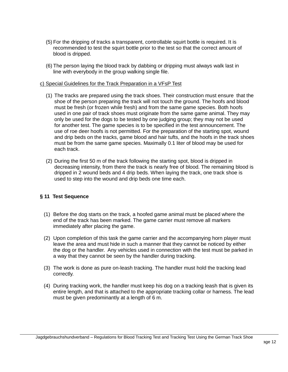- (5) For the dripping of tracks a transparent, controllable squirt bottle is required. It is recommended to test the squirt bottle prior to the test so that the correct amount of blood is dripped.
- (6) The person laying the blood track by dabbing or dripping must always walk last in line with everybody in the group walking single file.

#### c) Special Guidelines for the Track Preparation in a VFsP Test

- (1) The tracks are prepared using the track shoes. Their construction must ensure that the shoe of the person preparing the track will not touch the ground. The hoofs and blood must be fresh (or frozen while fresh) and from the same game species. Both hoofs used in one pair of track shoes must originate from the same game animal. They may only be used for the dogs to be tested by one judging group; they may not be used for another test. The game species is to be specified in the test announcement. The use of roe deer hoofs is not permitted. For the preparation of the starting spot, wound and drip beds on the tracks, game blood and hair tufts, and the hoofs in the track shoes must be from the same game species. Maximally 0.1 liter of blood may be used for each track.
- (2) During the first 50 m of the track following the starting spot, blood is dripped in decreasing intensity, from there the track is nearly free of blood. The remaining blood is dripped in 2 wound beds and 4 drip beds. When laying the track, one track shoe is used to step into the wound and drip beds one time each.

## **§ 11 Test Sequence**

- (1) Before the dog starts on the track, a hoofed game animal must be placed where the end of the track has been marked. The game carrier must remove all markers immediately after placing the game.
- (2) Upon completion of this task the game carrier and the accompanying horn player must leave the area and must hide in such a manner that they cannot be noticed by either the dog or the handler. Any vehicles used in connection with the test must be parked in a way that they cannot be seen by the handler during tracking.
- (3) The work is done as pure on-leash tracking. The handler must hold the tracking lead correctly.
- (4) During tracking work, the handler must keep his dog on a tracking leash that is given its entire length, and that is attached to the appropriate tracking collar or harness. The lead must be given predominantly at a length of 6 m.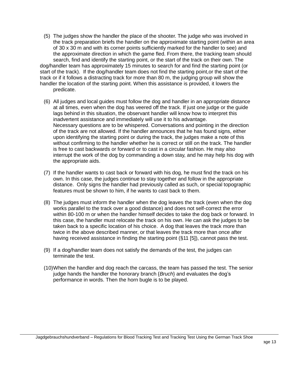- <span id="page-12-0"></span>(5) The judges show the handler the place of the shooter. The judge who was involved in the track preparation briefs the handler on the approximate starting point (within an area of 30 x 30 m and with its corner points sufficiently marked for the handler to see) and the approximate direction in which the game fled. From there, the tracking team should search, find and identify the starting point, or the start of the track on their own. The dog/handler team has approximately 15 minutes to search for and find the starting point (or start of the track). If the dog/handler team does not find the starting point,or the start of the track or if it follows a distracting track for more than 80 m, the judging group will show the handler the location of the starting point. When this assistance is provided, it lowers the predicate.
	- (6) All judges and local guides must follow the dog and handler in an appropriate distance at all times, even when the dog has veered off the track. If just one judge or the guide lags behind in this situation, the observant handler will know how to interpret this inadvertent assistance and immediately will use it to his advantage. Necessary questions are to be whispered. Conversations and pointing in the direction of the track are not allowed. If the handler announces that he has found signs, either upon identifying the starting point or during the track, the judges make a note of this without confirming to the handler whether he is correct or still on the track. The handler is free to cast backwards or forward or to cast in a circular fashion. He may also interrupt the work of the dog by commanding a down stay, and he may help his dog with the appropriate aids.
	- (7) If the handler wants to cast back or forward with his dog, he must find the track on his own. In this case, the judges continue to stay together and follow in the appropriate distance. Only signs the handler had previously called as such, or special topographic features must be shown to him, if he wants to cast back to them.
	- (8) The judges must inform the handler when the dog leaves the track (even when the dog works parallel to the track over a good distance) and does not self-correct the error within 80-100 m or when the handler himself decides to take the dog back or forward. In this case, the handler must relocate the track on his own. He can ask the judges to be taken back to a specific location of his choice. A dog that leaves the track more than twice in the above described manner, or that leaves the track more than once after having received assistance in finding the starting point (§11 [5]), cannot pass the test.
	- (9) If a dog/handler team does not satisfy the demands of the test, the judges can terminate the test.
	- (10)When the handler and dog reach the carcass, the team has passed the test. The senior judge hands the handler the honorary branch {*Bruch*} and evaluates the dog's performance in words. Then the horn bugle is to be played.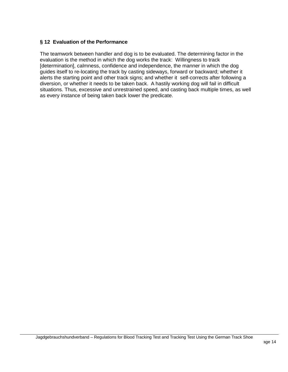## **§ 12 Evaluation of the Performance**

The teamwork between handler and dog is to be evaluated. The determining factor in the evaluation is the method in which the dog works the track: Willingness to track [determination], calmness, confidence and independence, the manner in which the dog guides itself to re-locating the track by casting sideways, forward or backward; whether it alerts the starting point and other track signs; and whether it self-corrects after following a diversion, or whether it needs to be taken back. A hastily working dog will fail in difficult situations. Thus, excessive and unrestrained speed, and casting back multiple times, as well as every instance of being taken back lower the predicate.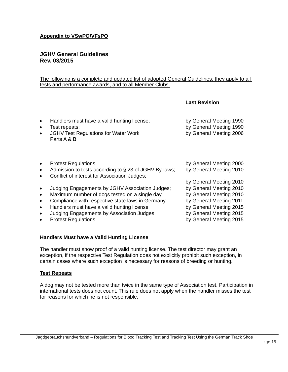## <span id="page-14-0"></span>**Appendix to VSwPO/VFsPO**

## **JGHV General Guidelines Rev. 03/2015**

#### The following is a complete and updated list of adopted General Guidelines; they apply to all tests and performance awards, and to all Member Clubs.

#### **Last Revision**

by General Meeting 2010

- Handlers must have a valid hunting license; by General Meeting 1990
- Test repeats; by General Meeting 1990
- JGHV Test Regulations for Water Work **by General Meeting 2006** Parts A & B
- Protest Regulations **by General Meeting 2000**
- Admission to tests according to § 23 of JGHV By-laws; by General Meeting 2010
- Conflict of interest for Association Judges;
- Judging Engagements by JGHV Association Judges; by General Meeting 2010
- Maximum number of dogs tested on a single day by General Meeting 2010
- Compliance with respective state laws in Germany by General Meeting 2011
- Handlers must have a valid hunting license by General Meeting 2015
- Judging Engagements by Association Judges by General Meeting 2015
- Protest Regulations **by General Meeting 2015**

#### **Handlers Must have a Valid Hunting License**

The handler must show proof of a valid hunting license. The test director may grant an exception, if the respective Test Regulation does not explicitly prohibit such exception, in certain cases where such exception is necessary for reasons of breeding or hunting.

#### **Test Repeats**

A dog may not be tested more than twice in the same type of Association test. Participation in international tests does not count. This rule does not apply when the handler misses the test for reasons for which he is not responsible.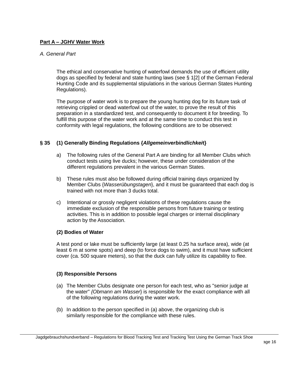## **Part A – JGHV Water Work**

## *A. General Part*

The ethical and conservative hunting of waterfowl demands the use of efficient utility dogs as specified by federal and state hunting laws (see § 1[2] of the German Federal Hunting Code and its supplemental stipulations in the various German States Hunting Regulations).

The purpose of water work is to prepare the young hunting dog for its future task of retrieving crippled or dead waterfowl out of the water, to prove the result of this preparation in a standardized test, and consequently to document it for breeding. To fulfill this purpose of the water work and at the same time to conduct this test in conformity with legal regulations, the following conditions are to be observed:

## **§ 35 (1) Generally Binding Regulations {***Allgemeinverbindlichkei***t}**

- a) The following rules of the General Part A are binding for all Member Clubs which conduct tests using live ducks; however, these under consideration of the different regulations prevalent in the various German States.
- b) These rules must also be followed during official training days organized by Member Clubs {*Wasserübungstagen*}, and it must be guaranteed that each dog is trained with not more than 3 ducks total.
- c) Intentional or grossly negligent violations of these regulations cause the immediate exclusion of the responsible persons from future training or testing activities. This is in addition to possible legal charges or internal disciplinary action by the Association.

## **(2) Bodies of Water**

A test pond or lake must be sufficiently large (at least 0.25 ha surface area), wide (at least 6 m at some spots) and deep (to force dogs to swim), and it must have sufficient cover (ca. 500 square meters), so that the duck can fully utilize its capability to flee.

## **(3) Responsible Persons**

- (a) The Member Clubs designate one person for each test, who as "senior judge at the water" *{Obmann am Wasser*} is responsible for the exact compliance with all of the following regulations during the water work.
- (b) In addition to the person specified in (a) above, the organizing club is similarly responsible for the compliance with these rules.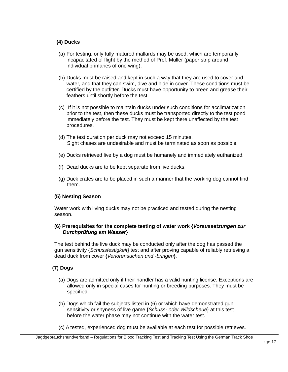## **(4) Ducks**

- (a) For testing, only fully matured mallards may be used, which are temporarily incapacitated of flight by the method of Prof. Müller (paper strip around individual primaries of one wing).
- (b) Ducks must be raised and kept in such a way that they are used to cover and water, and that they can swim, dive and hide in cover. These conditions must be certified by the outfitter. Ducks must have opportunity to preen and grease their feathers until shortly before the test.
- (c) If it is not possible to maintain ducks under such conditions for acclimatization prior to the test, then these ducks must be transported directly to the test pond immediately before the test. They must be kept there unaffected by the test procedures.
- (d) The test duration per duck may not exceed 15 minutes. Sight chases are undesirable and must be terminated as soon as possible.
- (e) Ducks retrieved live by a dog must be humanely and immediately euthanized.
- (f) Dead ducks are to be kept separate from live ducks.
- (g) Duck crates are to be placed in such a manner that the working dog cannot find them.

## **(5) Nesting Season**

Water work with living ducks may not be practiced and tested during the nesting season.

## **(6) Prerequisites for the complete testing of water work {***Voraussetzungen zur Durchprüfung am Wasser***}**

The test behind the live duck may be conducted only after the dog has passed the gun sensitivity {*Schussfestigkeit*} test and after proving capable of reliably retrieving a dead duck from cover {*Verlorensuchen und -bringen*}.

## **(7) Dogs**

- (a) Dogs are admitted only if their handler has a valid hunting license. Exceptions are allowed only in special cases for hunting or breeding purposes. They must be specified.
- (b) Dogs which fail the subjects listed in (6) or which have demonstrated gun sensitivity or shyness of live game {*Schuss- oder Wildscheue*} at this test before the water phase may not continue with the water test.
- (c) A tested, experienced dog must be available at each test for possible retrieves.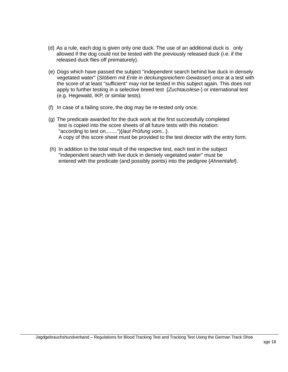- (d) As a rule, each dog is given only one duck. The use of an additional duck is only allowed if the dog could not be tested with the previously released duck (i.e. if the released duck flies off prematurely).
- (e) Dogs which have passed the subject "independent search behind live duck in densely vegetated water" {*Stöbern mit Ente in deckungsreichem Gewässer*} once at a test with the score of at least "sufficient" may not be tested in this subject again. This does not apply to further testing in a selective breed test {*Zuchtauslese-*} or international test (e.g. Hegewald, IKP, or similar tests).
- (f) In case of a failing score, the dog may be re-tested only once.
- (g) The predicate awarded for the duck work at the first successfully completed test is copied into the score sheets of all future tests with this notation: "according to test on........"){*laut Prüfung vom..*.}. A copy of this score sheet must be provided to the test director with the entry form.
- (h) In addition to the total result of the respective test, each test in the subject "independent search with live duck in densely vegetated water" must be entered with the predicate (and possibly points) into the pedigree {*Ahnentafel*}.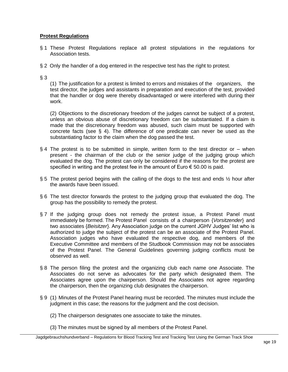## **Protest Regulations**

- § 1 These Protest Regulations replace all protest stipulations in the regulations for Association tests.
- § 2 Only the handler of a dog entered in the respective test has the right to protest.

## $§$  3

(1) The justification for a protest is limited to errors and mistakes of the organizers, the test director, the judges and assistants in preparation and execution of the test, provided that the handler or dog were thereby disadvantaged or were interfered with during their work.

(2) Objections to the discretionary freedom of the judges cannot be subject of a protest, unless an obvious abuse of discretionary freedom can be substantiated. If a claim is made that the discretionary freedom was abused, such claim must be supported with concrete facts (see § 4). The difference of one predicate can never be used as the substantiating factor to the claim when the dog passed the test.

- § 4 The protest is to be submitted in simple, written form to the test director or when present - the chairman of the club or the senior judge of the judging group which evaluated the dog. The protest can only be considered if the reasons for the protest are specified in writing and the protest fee in the amount of Euro  $\epsilon$  50.00 is paid.
- § 5 The protest period begins with the calling of the dogs to the test and ends  $\frac{1}{2}$  hour after the awards have been issued.
- § 6 The test director forwards the protest to the judging group that evaluated the dog. The group has the possibility to remedy the protest.
- § 7 If the judging group does not remedy the protest issue, a Protest Panel must immediately be formed. The Protest Panel consists of a chairperson {*Vorsitzender*} and two associates {*Beisitzer*}. Any Association judge on the current JGHV Judges' list who is authorized to judge the subject of the protest can be an associate of the Protest Panel. Association judges who have evaluated the respective dog, and members of the Executive Committee and members of the Studbook Commission may not be associates of the Protest Panel. The General Guidelines governing judging conflicts must be observed as well.
- § 8 The person filing the protest and the organizing club each name one Associate. The Associates do not serve as advocates for the party which designated them. The Associates agree upon the chairperson. Should the Associates not agree regarding the chairperson, then the organizing club designates the chairperson.
- § 9 (1) Minutes of the Protest Panel hearing must be recorded. The minutes must include the judgment in this case; the reasons for the judgment and the cost decision.
	- (2) The chairperson designates one associate to take the minutes.
	- (3) The minutes must be signed by all members of the Protest Panel.

Jagdgebrauchshundverband – Regulations for Blood Tracking Test and Tracking Test Using the German Track Shoe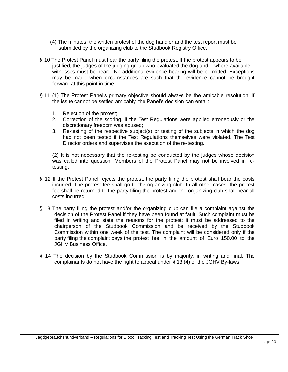- (4) The minutes, the written protest of the dog handler and the test report must be submitted by the organizing club to the Studbook Registry Office.
- § 10 The Protest Panel must hear the party filing the protest. If the protest appears to be justified, the judges of the judging group who evaluated the dog and – where available – witnesses must be heard. No additional evidence hearing will be permitted. Exceptions may be made when circumstances are such that the evidence cannot be brought forward at this point in time.
- § 11 (1) The Protest Panel's primary objective should always be the amicable resolution. If the issue cannot be settled amicably, the Panel's decision can entail:
	- 1. Rejection of the protest;
	- 2. Correction of the scoring, if the Test Regulations were applied erroneously or the discretionary freedom was abused;
	- 3. Re-testing of the respective subject(s) or testing of the subjects in which the dog had not been tested if the Test Regulations themselves were violated. The Test Director orders and supervises the execution of the re-testing.

(2) It is not necessary that the re-testing be conducted by the judges whose decision was called into question. Members of the Protest Panel may not be involved in retesting.

- § 12 If the Protest Panel rejects the protest, the party filing the protest shall bear the costs incurred. The protest fee shall go to the organizing club. In all other cases, the protest fee shall be returned to the party filing the protest and the organizing club shall bear all costs incurred.
- § 13 The party filing the protest and/or the organizing club can file a complaint against the decision of the Protest Panel if they have been found at fault. Such complaint must be filed in writing and state the reasons for the protest; it must be addressed to the chairperson of the Studbook Commission and be received by the Studbook Commission within one week of the test. The complaint will be considered only if the party filing the complaint pays the protest fee in the amount of Euro 150.00 to the JGHV Business Office.
- § 14 The decision by the Studbook Commission is by majority, in writing and final. The complainants do not have the right to appeal under § 13 (4) of the JGHV By-laws.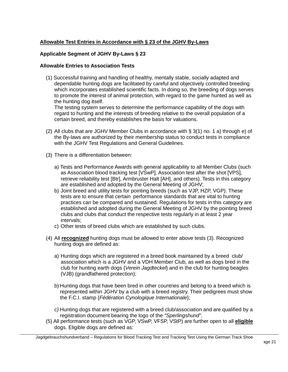## **Allowable Test Entries in Accordance with § 23 of the JGHV By-Laws**

## **Applicable Segment of JGHV By-Laws § 23**

#### **Allowable Entries to Association Tests**

(1) Successful training and handling of healthy, mentally stable, socially adapted and dependable hunting dogs are facilitated by careful and objectively controlled breeding which incorporates established scientific facts. In doing so, the breeding of dogs serves to promote the interest of animal protection, with regard to the game hunted as well as the hunting dog itself.

The testing system serves to determine the performance capability of the dogs with regard to hunting and the interests of breeding relative to the overall population of a certain breed, and thereby establishes the basis for valuations.

- (2) All clubs that are JGHV Member Clubs in accordance with § 3(1) no. 1 a) through e) of the By-laws are authorized by their membership status to conduct tests in compliance with the JGHV Test Regulations and General Guidelines.
- (3) There is a differentiation between:
	- a) Tests and Performance Awards with general applicability to all Member Clubs (such as Association blood tracking test [VSwP], Association test after the shot [VPS], retrieve reliability test [Btr], Armbruster Halt [AH], and others). Tests in this category are established and adopted by the General Meeting of JGHV;
	- b) Joint breed and utility tests for pointing breeds (such as VJP, HZP, VGP). These tests are to ensure that certain performance standards that are vital to hunting practices can be compared and sustained. Regulations for tests in this category are established and adopted during the General Meeting of JGHV by the pointing breed clubs and clubs that conduct the respective tests regularly in at least 2 year intervals;
	- c) Other tests of breed clubs which are established by such clubs.
- (4) All **recognized** hunting dogs must be allowed to enter above tests (3). Recognized hunting dogs are defined as:
	- a) Hunting dogs which are registered in a breed book maintained by a breed club/ association which is a JGHV and a VDH Member Club, as well as dogs bred in the club for hunting earth dogs {*Verein Jagdteckel*} and in the club for hunting beagles (VJB) (grandfathered protection);
	- b) Hunting dogs that have been bred in other countries and belong to a breed which is represented within JGHV by a club with a breed registry. Their pedigrees must show the F.C.I. stamp {*Fédération Cynologique Internationale*};
	- *c)* Hunting dogs that are registered with a breed club/association and are qualified by a registration document bearing the logo of the *"Sperlingshund".*
- (5) All performance tests (such as VGP, VSwP, VFSP, VStP) are further open to all **eligible** dogs. Eligible dogs are defined as:

Jagdgebrauchshundverband – Regulations for Blood Tracking Test and Tracking Test Using the German Track Shoe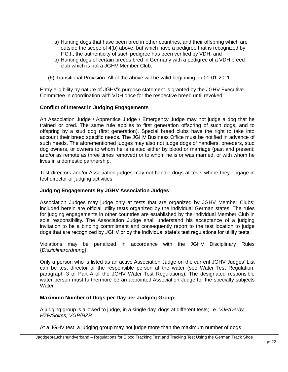- a) Hunting dogs that have been bred in other countries, and their offspring which are outside the scope of 4(b) above, but which have a pedigree that is recognized by F.C.I.; the authenticity of such pedigree has been verified by VDH; and
- b) Hunting dogs of certain breeds bred in Germany with a pedigree of a VDH breed club which is not a JGHV Member Club.
- (6) Transitional Provision: All of the above will be valid beginning on 01-01-2011.

Entry eligibility by nature of JGHV's purpose statement is granted by the JGHV Executive Committee in coordination with VDH once for the respective breed until revoked.

## **Conflict of Interest in Judging Engagements**

An Association Judge / Apprentice Judge / Emergency Judge may not judge a dog that he trained or bred. The same rule applies to first generation offspring of such dogs, and to offspring by a stud dog (first generation). Special breed clubs have the right to take into account their breed specific needs. The JGHV Business Office must be notified in advance of such needs. The aforementioned judges may also not judge dogs of handlers, breeders, stud dog owners, or owners to whom he is related either by blood or marriage (past and present; and/or as remote as three times removed) or to whom he is or was married, or with whom he lives in a domestic partnership.

Test directors and/or Association judges may not handle dogs at tests where they engage in test director or judging activities.

#### **Judging Engagements By JGHV Association Judges**

Association Judges may judge only at tests that are organized by JGHV Member Clubs; included herein are official utility tests organized by the individual German states. The rules for judging engagements in other countries are established by the individual Member Club in sole responsibility. The Association Judge shall understand his acceptance of a judging invitation to be a binding commitment and consequently report to the test location to judge dogs that are recognized by JGHV or by the individual state's test regulations for utility tests.

Violations may be penalized in accordance with the JGHV Disciplinary Rules {*Disziplinarordnung*}.

Only a person who is listed as an active Association Judge on the current JGHV Judges' List can be test director or the responsible person at the water (see Water Test Regulation, paragraph 3 of Part A of the JGHV Water Test Regulations). The designated responsible water person must furthermore be an appointed Association Judge for the specialty subjects **Water** 

#### **Maximum Number of Dogs per Day per Judging Group:**

A judging group is allowed to judge, in a single day, dogs at different tests; i.e. *VJP/Derby, HZP/Solms; VGP/HZP.*

At a JGHV test, a judging group may not judge more than the maximum number of dogs